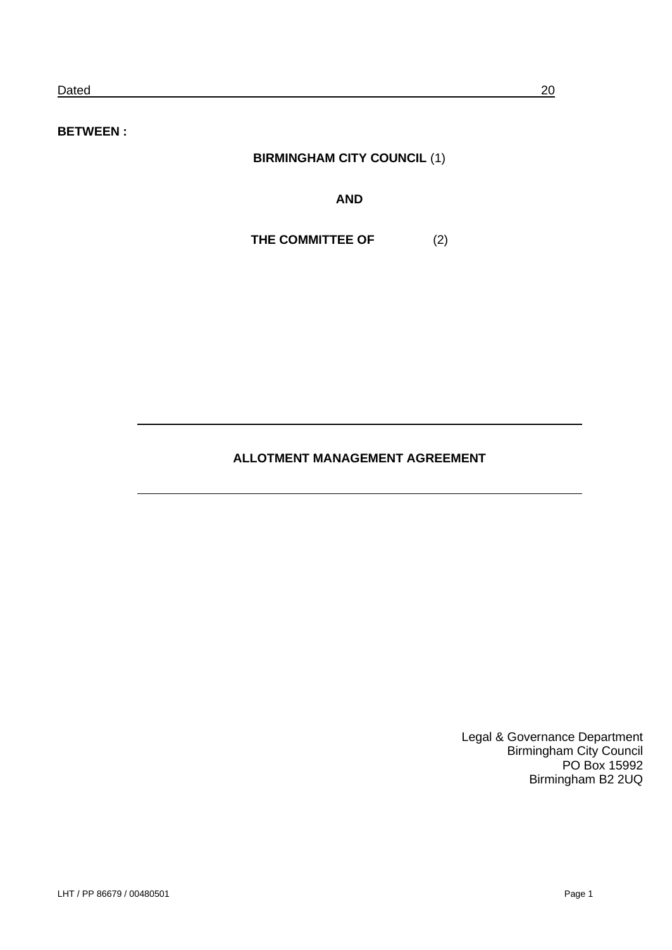**BETWEEN :**

# **BIRMINGHAM CITY COUNCIL** (1)

**AND**

**THE COMMITTEE OF** (2)

## **ALLOTMENT MANAGEMENT AGREEMENT**

Legal & Governance Department Birmingham City Council PO Box 15992 Birmingham B2 2UQ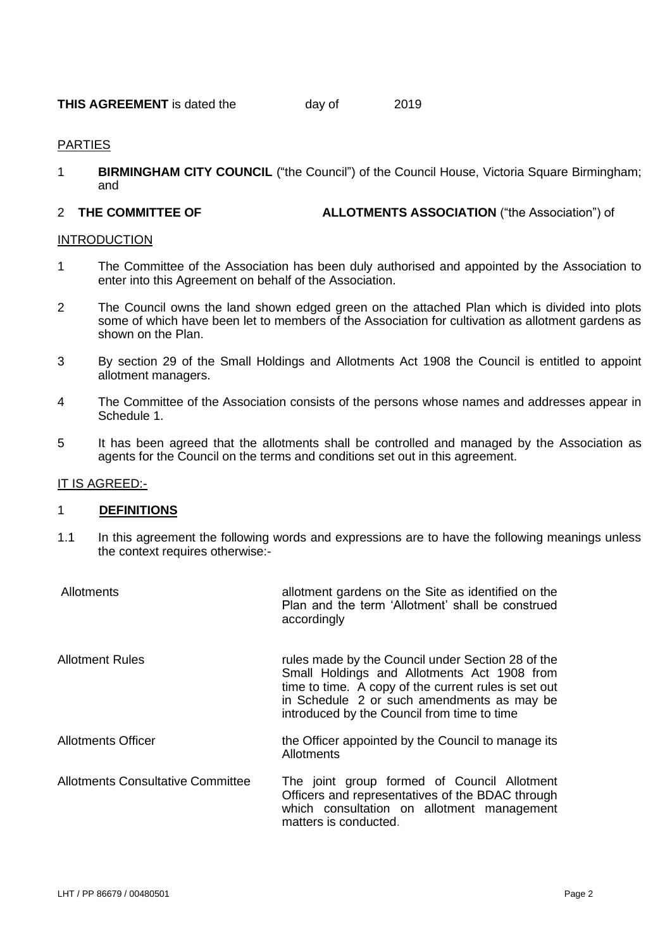| <b>THIS AGREEMENT</b> is dated the | day of | 2019 |
|------------------------------------|--------|------|
|------------------------------------|--------|------|

#### PARTIES

1 **BIRMINGHAM CITY COUNCIL** ("the Council") of the Council House, Victoria Square Birmingham; and

#### 2 **THE COMMITTEE OF ALLOTMENTS ASSOCIATION** ("the Association") of

#### INTRODUCTION

- 1 The Committee of the Association has been duly authorised and appointed by the Association to enter into this Agreement on behalf of the Association.
- 2 The Council owns the land shown edged green on the attached Plan which is divided into plots some of which have been let to members of the Association for cultivation as allotment gardens as shown on the Plan.
- 3 By section 29 of the Small Holdings and Allotments Act 1908 the Council is entitled to appoint allotment managers.
- 4 The Committee of the Association consists of the persons whose names and addresses appear in Schedule 1.
- 5 It has been agreed that the allotments shall be controlled and managed by the Association as agents for the Council on the terms and conditions set out in this agreement.

#### IT IS AGREED:-

#### 1 **DEFINITIONS**

1.1 In this agreement the following words and expressions are to have the following meanings unless the context requires otherwise:-

| Allotments                               | allotment gardens on the Site as identified on the<br>Plan and the term 'Allotment' shall be construed<br>accordingly                                                                                                                                 |
|------------------------------------------|-------------------------------------------------------------------------------------------------------------------------------------------------------------------------------------------------------------------------------------------------------|
| <b>Allotment Rules</b>                   | rules made by the Council under Section 28 of the<br>Small Holdings and Allotments Act 1908 from<br>time to time. A copy of the current rules is set out<br>in Schedule 2 or such amendments as may be<br>introduced by the Council from time to time |
| <b>Allotments Officer</b>                | the Officer appointed by the Council to manage its<br>Allotments                                                                                                                                                                                      |
| <b>Allotments Consultative Committee</b> | The joint group formed of Council Allotment<br>Officers and representatives of the BDAC through<br>which consultation on allotment management<br>matters is conducted.                                                                                |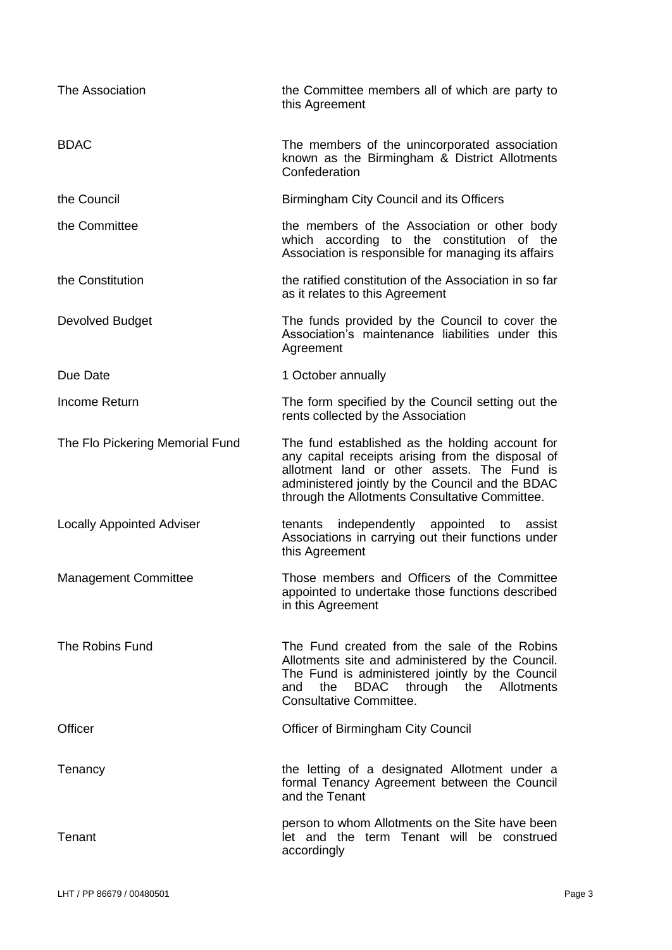| The Association                  | the Committee members all of which are party to<br>this Agreement                                                                                                                                                                                         |
|----------------------------------|-----------------------------------------------------------------------------------------------------------------------------------------------------------------------------------------------------------------------------------------------------------|
| <b>BDAC</b>                      | The members of the unincorporated association<br>known as the Birmingham & District Allotments<br>Confederation                                                                                                                                           |
| the Council                      | Birmingham City Council and its Officers                                                                                                                                                                                                                  |
| the Committee                    | the members of the Association or other body<br>which according to the constitution of the<br>Association is responsible for managing its affairs                                                                                                         |
| the Constitution                 | the ratified constitution of the Association in so far<br>as it relates to this Agreement                                                                                                                                                                 |
| Devolved Budget                  | The funds provided by the Council to cover the<br>Association's maintenance liabilities under this<br>Agreement                                                                                                                                           |
| Due Date                         | 1 October annually                                                                                                                                                                                                                                        |
| Income Return                    | The form specified by the Council setting out the<br>rents collected by the Association                                                                                                                                                                   |
| The Flo Pickering Memorial Fund  | The fund established as the holding account for<br>any capital receipts arising from the disposal of<br>allotment land or other assets. The Fund is<br>administered jointly by the Council and the BDAC<br>through the Allotments Consultative Committee. |
| <b>Locally Appointed Adviser</b> | independently appointed to<br>tenants<br>assist<br>Associations in carrying out their functions under<br>this Agreement                                                                                                                                   |
| <b>Management Committee</b>      | Those members and Officers of the Committee<br>appointed to undertake those functions described<br>in this Agreement                                                                                                                                      |
| The Robins Fund                  | The Fund created from the sale of the Robins<br>Allotments site and administered by the Council.<br>The Fund is administered jointly by the Council<br>BDAC through the Allotments<br>and<br>the<br>Consultative Committee.                               |
| Officer                          | <b>Officer of Birmingham City Council</b>                                                                                                                                                                                                                 |
| Tenancy                          | the letting of a designated Allotment under a<br>formal Tenancy Agreement between the Council<br>and the Tenant                                                                                                                                           |
| Tenant                           | person to whom Allotments on the Site have been<br>let and the term Tenant will be construed<br>accordingly                                                                                                                                               |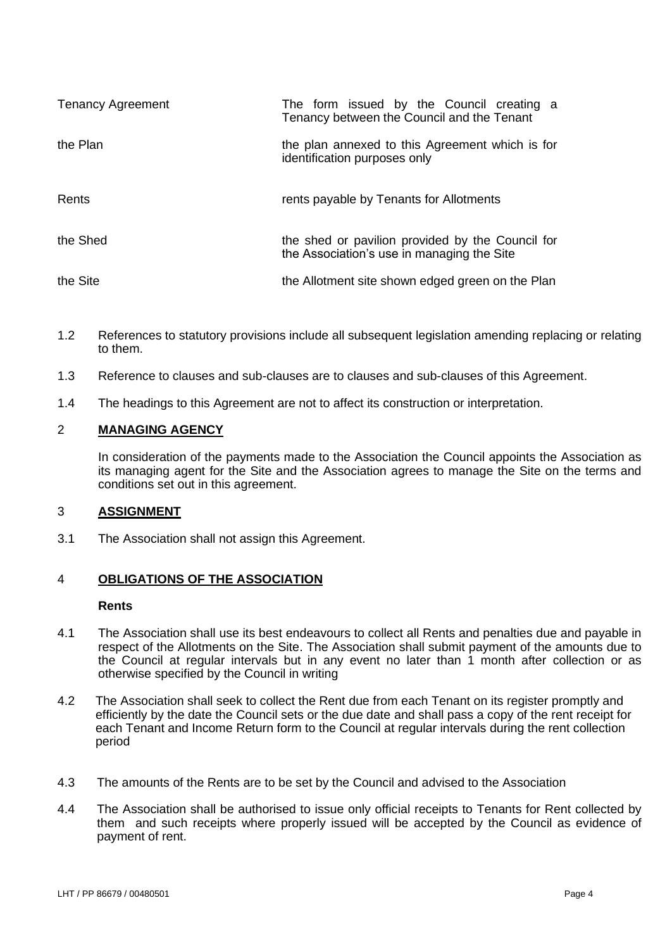| <b>Tenancy Agreement</b> | The form issued by the Council creating a<br>Tenancy between the Council and the Tenant        |
|--------------------------|------------------------------------------------------------------------------------------------|
| the Plan                 | the plan annexed to this Agreement which is for<br>identification purposes only                |
| Rents                    | rents payable by Tenants for Allotments                                                        |
| the Shed                 | the shed or pavilion provided by the Council for<br>the Association's use in managing the Site |
| the Site                 | the Allotment site shown edged green on the Plan                                               |

- 1.2 References to statutory provisions include all subsequent legislation amending replacing or relating to them.
- 1.3 Reference to clauses and sub-clauses are to clauses and sub-clauses of this Agreement.
- 1.4 The headings to this Agreement are not to affect its construction or interpretation.

## 2 **MANAGING AGENCY**

In consideration of the payments made to the Association the Council appoints the Association as its managing agent for the Site and the Association agrees to manage the Site on the terms and conditions set out in this agreement.

## 3 **ASSIGNMENT**

3.1 The Association shall not assign this Agreement.

## 4 **OBLIGATIONS OF THE ASSOCIATION**

#### **Rents**

- 4.1 The Association shall use its best endeavours to collect all Rents and penalties due and payable in respect of the Allotments on the Site. The Association shall submit payment of the amounts due to the Council at regular intervals but in any event no later than 1 month after collection or as otherwise specified by the Council in writing
- 4.2 The Association shall seek to collect the Rent due from each Tenant on its register promptly and efficiently by the date the Council sets or the due date and shall pass a copy of the rent receipt for each Tenant and Income Return form to the Council at regular intervals during the rent collection period
- 4.3 The amounts of the Rents are to be set by the Council and advised to the Association
- 4.4 The Association shall be authorised to issue only official receipts to Tenants for Rent collected by them and such receipts where properly issued will be accepted by the Council as evidence of payment of rent.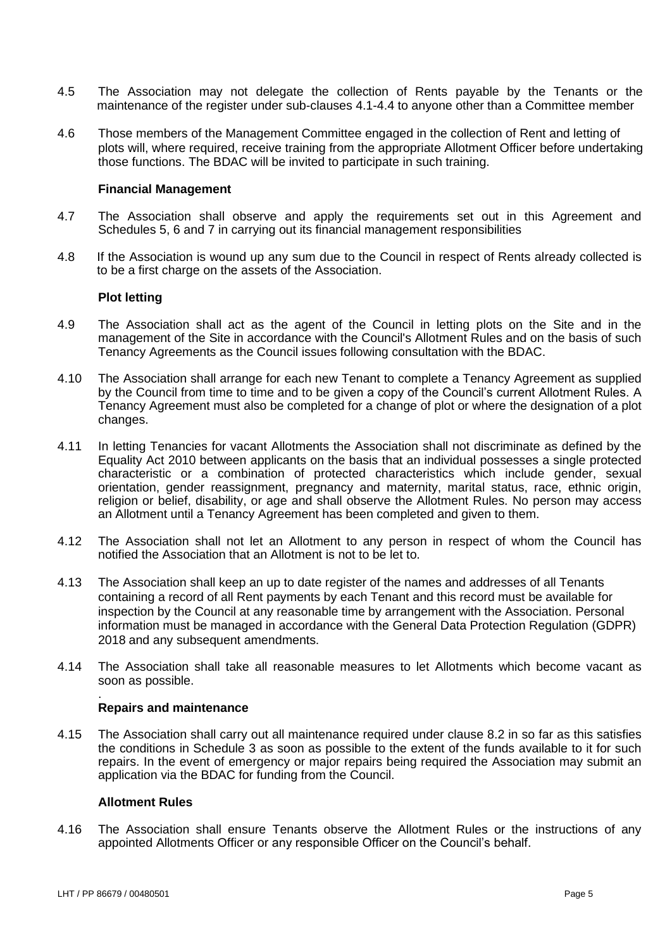- 4.5 The Association may not delegate the collection of Rents payable by the Tenants or the maintenance of the register under sub-clauses 4.1-4.4 to anyone other than a Committee member
- 4.6 Those members of the Management Committee engaged in the collection of Rent and letting of plots will, where required, receive training from the appropriate Allotment Officer before undertaking those functions. The BDAC will be invited to participate in such training.

#### **Financial Management**

- 4.7 The Association shall observe and apply the requirements set out in this Agreement and Schedules 5, 6 and 7 in carrying out its financial management responsibilities
- 4.8 If the Association is wound up any sum due to the Council in respect of Rents already collected is to be a first charge on the assets of the Association.

#### **Plot letting**

- 4.9 The Association shall act as the agent of the Council in letting plots on the Site and in the management of the Site in accordance with the Council's Allotment Rules and on the basis of such Tenancy Agreements as the Council issues following consultation with the BDAC.
- 4.10 The Association shall arrange for each new Tenant to complete a Tenancy Agreement as supplied by the Council from time to time and to be given a copy of the Council's current Allotment Rules. A Tenancy Agreement must also be completed for a change of plot or where the designation of a plot changes.
- 4.11 In letting Tenancies for vacant Allotments the Association shall not discriminate as defined by the Equality Act 2010 between applicants on the basis that an individual possesses a single protected characteristic or a combination of protected characteristics which include gender, sexual orientation, gender reassignment, pregnancy and maternity, marital status, race, ethnic origin, religion or belief, disability, or age and shall observe the Allotment Rules. No person may access an Allotment until a Tenancy Agreement has been completed and given to them.
- 4.12 The Association shall not let an Allotment to any person in respect of whom the Council has notified the Association that an Allotment is not to be let to.
- 4.13 The Association shall keep an up to date register of the names and addresses of all Tenants containing a record of all Rent payments by each Tenant and this record must be available for inspection by the Council at any reasonable time by arrangement with the Association. Personal information must be managed in accordance with the General Data Protection Regulation (GDPR) 2018 and any subsequent amendments.
- 4.14 The Association shall take all reasonable measures to let Allotments which become vacant as soon as possible.

#### **Repairs and maintenance**

4.15 The Association shall carry out all maintenance required under clause 8.2 in so far as this satisfies the conditions in Schedule 3 as soon as possible to the extent of the funds available to it for such repairs. In the event of emergency or major repairs being required the Association may submit an application via the BDAC for funding from the Council.

#### **Allotment Rules**

4.16 The Association shall ensure Tenants observe the Allotment Rules or the instructions of any appointed Allotments Officer or any responsible Officer on the Council's behalf.

.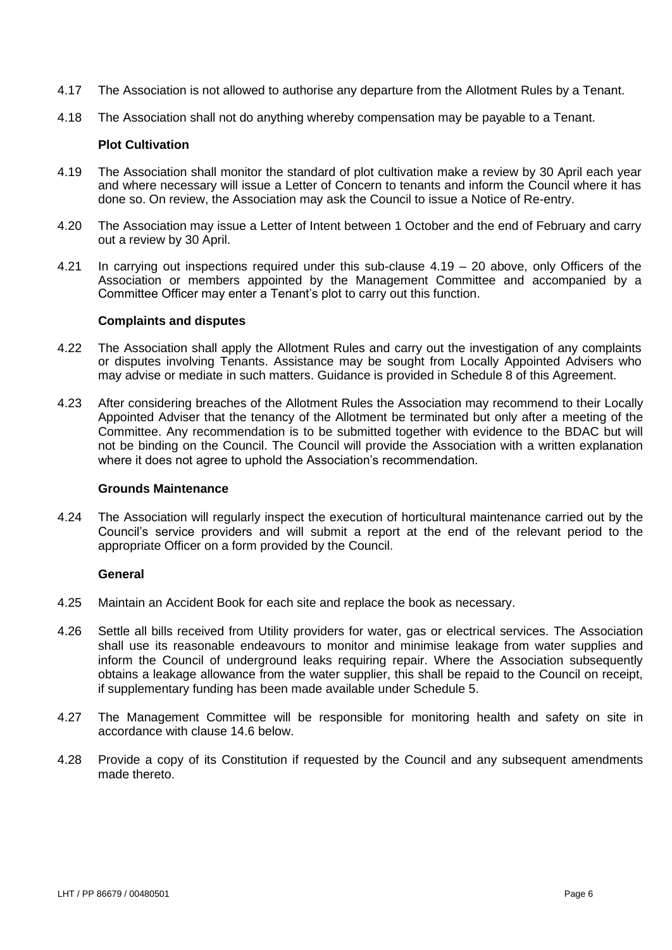- 4.17 The Association is not allowed to authorise any departure from the Allotment Rules by a Tenant.
- 4.18 The Association shall not do anything whereby compensation may be payable to a Tenant.

#### **Plot Cultivation**

- 4.19 The Association shall monitor the standard of plot cultivation make a review by 30 April each year and where necessary will issue a Letter of Concern to tenants and inform the Council where it has done so. On review, the Association may ask the Council to issue a Notice of Re-entry.
- 4.20 The Association may issue a Letter of Intent between 1 October and the end of February and carry out a review by 30 April.
- 4.21 In carrying out inspections required under this sub-clause 4.19 20 above, only Officers of the Association or members appointed by the Management Committee and accompanied by a Committee Officer may enter a Tenant's plot to carry out this function.

#### **Complaints and disputes**

- 4.22 The Association shall apply the Allotment Rules and carry out the investigation of any complaints or disputes involving Tenants. Assistance may be sought from Locally Appointed Advisers who may advise or mediate in such matters. Guidance is provided in Schedule 8 of this Agreement.
- 4.23 After considering breaches of the Allotment Rules the Association may recommend to their Locally Appointed Adviser that the tenancy of the Allotment be terminated but only after a meeting of the Committee. Any recommendation is to be submitted together with evidence to the BDAC but will not be binding on the Council. The Council will provide the Association with a written explanation where it does not agree to uphold the Association's recommendation.

#### **Grounds Maintenance**

4.24 The Association will regularly inspect the execution of horticultural maintenance carried out by the Council's service providers and will submit a report at the end of the relevant period to the appropriate Officer on a form provided by the Council.

#### **General**

- 4.25 Maintain an Accident Book for each site and replace the book as necessary.
- 4.26 Settle all bills received from Utility providers for water, gas or electrical services. The Association shall use its reasonable endeavours to monitor and minimise leakage from water supplies and inform the Council of underground leaks requiring repair. Where the Association subsequently obtains a leakage allowance from the water supplier, this shall be repaid to the Council on receipt, if supplementary funding has been made available under Schedule 5.
- 4.27 The Management Committee will be responsible for monitoring health and safety on site in accordance with clause 14.6 below.
- 4.28 Provide a copy of its Constitution if requested by the Council and any subsequent amendments made thereto.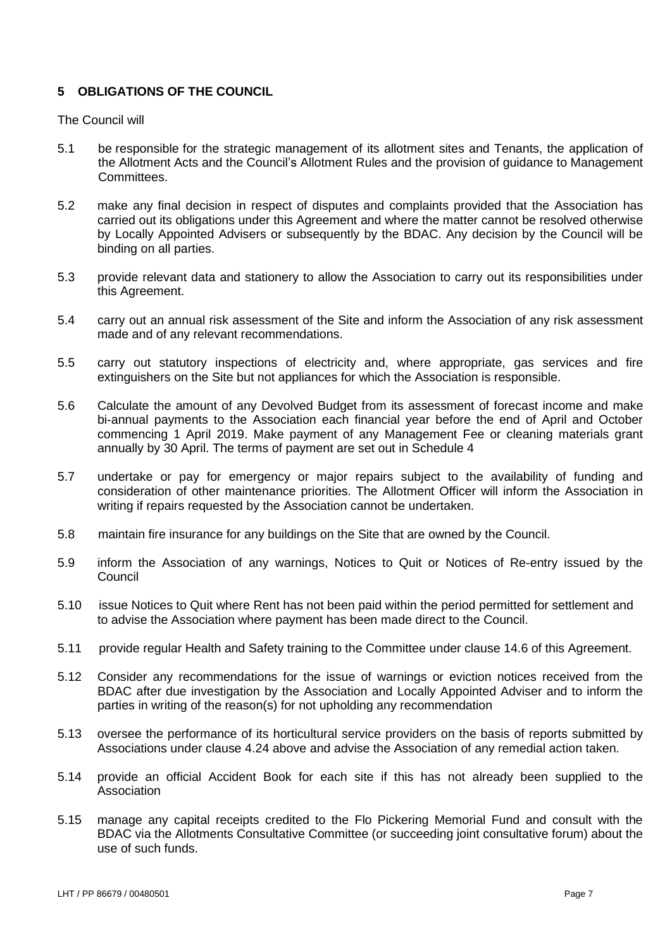## **5 OBLIGATIONS OF THE COUNCIL**

The Council will

- 5.1 be responsible for the strategic management of its allotment sites and Tenants, the application of the Allotment Acts and the Council's Allotment Rules and the provision of guidance to Management Committees.
- 5.2 make any final decision in respect of disputes and complaints provided that the Association has carried out its obligations under this Agreement and where the matter cannot be resolved otherwise by Locally Appointed Advisers or subsequently by the BDAC. Any decision by the Council will be binding on all parties.
- 5.3 provide relevant data and stationery to allow the Association to carry out its responsibilities under this Agreement.
- 5.4 carry out an annual risk assessment of the Site and inform the Association of any risk assessment made and of any relevant recommendations.
- 5.5 carry out statutory inspections of electricity and, where appropriate, gas services and fire extinguishers on the Site but not appliances for which the Association is responsible.
- 5.6 Calculate the amount of any Devolved Budget from its assessment of forecast income and make bi-annual payments to the Association each financial year before the end of April and October commencing 1 April 2019. Make payment of any Management Fee or cleaning materials grant annually by 30 April. The terms of payment are set out in Schedule 4
- 5.7 undertake or pay for emergency or major repairs subject to the availability of funding and consideration of other maintenance priorities. The Allotment Officer will inform the Association in writing if repairs requested by the Association cannot be undertaken.
- 5.8 maintain fire insurance for any buildings on the Site that are owned by the Council.
- 5.9 inform the Association of any warnings, Notices to Quit or Notices of Re-entry issued by the Council
- 5.10 issue Notices to Quit where Rent has not been paid within the period permitted for settlement and to advise the Association where payment has been made direct to the Council.
- 5.11 provide regular Health and Safety training to the Committee under clause 14.6 of this Agreement.
- 5.12 Consider any recommendations for the issue of warnings or eviction notices received from the BDAC after due investigation by the Association and Locally Appointed Adviser and to inform the parties in writing of the reason(s) for not upholding any recommendation
- 5.13 oversee the performance of its horticultural service providers on the basis of reports submitted by Associations under clause 4.24 above and advise the Association of any remedial action taken.
- 5.14 provide an official Accident Book for each site if this has not already been supplied to the **Association**
- 5.15 manage any capital receipts credited to the Flo Pickering Memorial Fund and consult with the BDAC via the Allotments Consultative Committee (or succeeding joint consultative forum) about the use of such funds.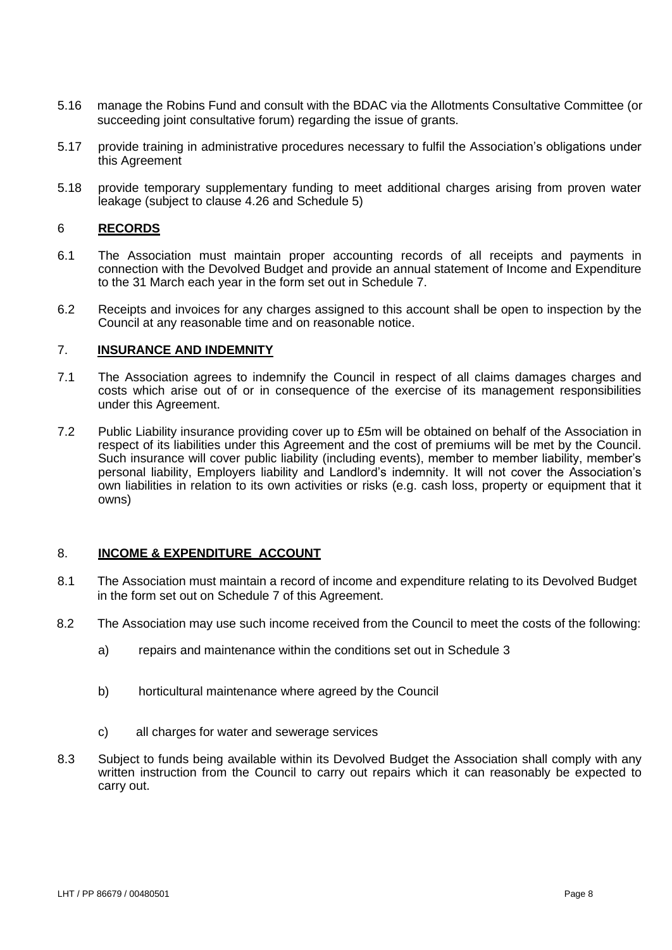- 5.16 manage the Robins Fund and consult with the BDAC via the Allotments Consultative Committee (or succeeding joint consultative forum) regarding the issue of grants.
- 5.17 provide training in administrative procedures necessary to fulfil the Association's obligations under this Agreement
- 5.18 provide temporary supplementary funding to meet additional charges arising from proven water leakage (subject to clause 4.26 and Schedule 5)

## 6 **RECORDS**

- 6.1 The Association must maintain proper accounting records of all receipts and payments in connection with the Devolved Budget and provide an annual statement of Income and Expenditure to the 31 March each year in the form set out in Schedule 7.
- 6.2 Receipts and invoices for any charges assigned to this account shall be open to inspection by the Council at any reasonable time and on reasonable notice.

#### 7. **INSURANCE AND INDEMNITY**

- 7.1 The Association agrees to indemnify the Council in respect of all claims damages charges and costs which arise out of or in consequence of the exercise of its management responsibilities under this Agreement.
- 7.2 Public Liability insurance providing cover up to £5m will be obtained on behalf of the Association in respect of its liabilities under this Agreement and the cost of premiums will be met by the Council. Such insurance will cover public liability (including events), member to member liability, member's personal liability, Employers liability and Landlord's indemnity. It will not cover the Association's own liabilities in relation to its own activities or risks (e.g. cash loss, property or equipment that it owns)

## 8. **INCOME & EXPENDITURE ACCOUNT**

- 8.1 The Association must maintain a record of income and expenditure relating to its Devolved Budget in the form set out on Schedule 7 of this Agreement.
- 8.2 The Association may use such income received from the Council to meet the costs of the following:
	- a) repairs and maintenance within the conditions set out in Schedule 3
	- b) horticultural maintenance where agreed by the Council
	- c) all charges for water and sewerage services
- 8.3 Subject to funds being available within its Devolved Budget the Association shall comply with any written instruction from the Council to carry out repairs which it can reasonably be expected to carry out.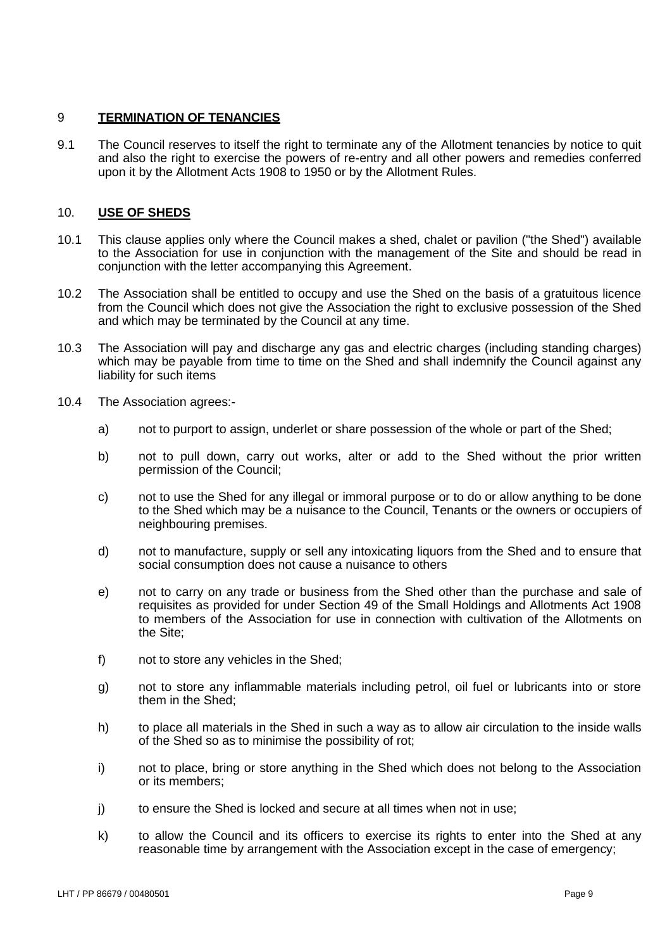#### 9 **TERMINATION OF TENANCIES**

9.1 The Council reserves to itself the right to terminate any of the Allotment tenancies by notice to quit and also the right to exercise the powers of re-entry and all other powers and remedies conferred upon it by the Allotment Acts 1908 to 1950 or by the Allotment Rules.

## 10. **USE OF SHEDS**

- 10.1 This clause applies only where the Council makes a shed, chalet or pavilion ("the Shed") available to the Association for use in conjunction with the management of the Site and should be read in conjunction with the letter accompanying this Agreement.
- 10.2 The Association shall be entitled to occupy and use the Shed on the basis of a gratuitous licence from the Council which does not give the Association the right to exclusive possession of the Shed and which may be terminated by the Council at any time.
- 10.3 The Association will pay and discharge any gas and electric charges (including standing charges) which may be payable from time to time on the Shed and shall indemnify the Council against any liability for such items
- 10.4 The Association agrees:
	- a) not to purport to assign, underlet or share possession of the whole or part of the Shed;
	- b) not to pull down, carry out works, alter or add to the Shed without the prior written permission of the Council;
	- c) not to use the Shed for any illegal or immoral purpose or to do or allow anything to be done to the Shed which may be a nuisance to the Council, Tenants or the owners or occupiers of neighbouring premises.
	- d) not to manufacture, supply or sell any intoxicating liquors from the Shed and to ensure that social consumption does not cause a nuisance to others
	- e) not to carry on any trade or business from the Shed other than the purchase and sale of requisites as provided for under Section 49 of the Small Holdings and Allotments Act 1908 to members of the Association for use in connection with cultivation of the Allotments on the Site;
	- f) not to store any vehicles in the Shed;
	- g) not to store any inflammable materials including petrol, oil fuel or lubricants into or store them in the Shed;
	- h) to place all materials in the Shed in such a way as to allow air circulation to the inside walls of the Shed so as to minimise the possibility of rot;
	- i) not to place, bring or store anything in the Shed which does not belong to the Association or its members;
	- j) to ensure the Shed is locked and secure at all times when not in use;
	- k) to allow the Council and its officers to exercise its rights to enter into the Shed at any reasonable time by arrangement with the Association except in the case of emergency;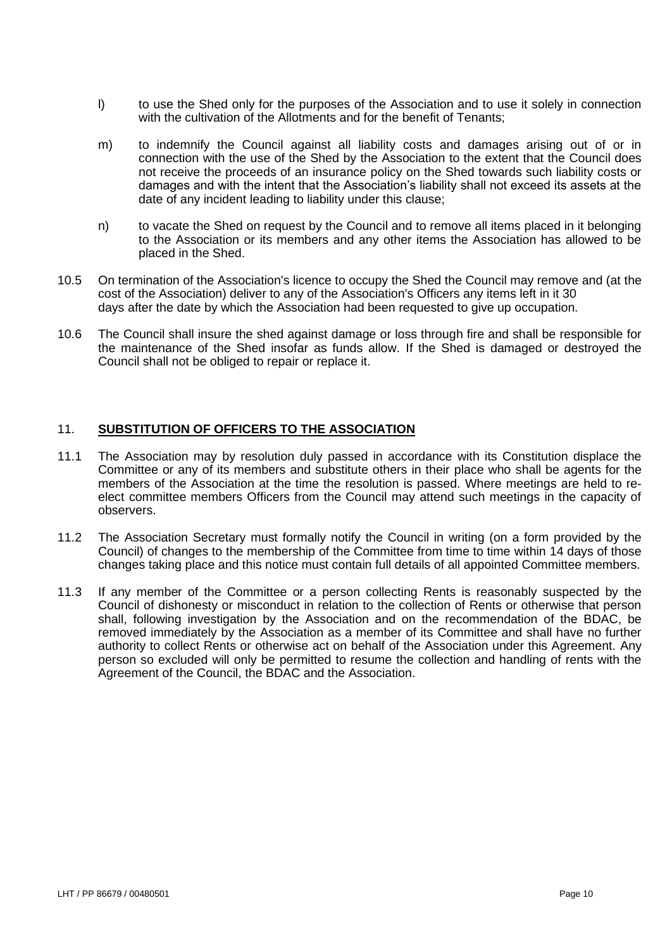- l) to use the Shed only for the purposes of the Association and to use it solely in connection with the cultivation of the Allotments and for the benefit of Tenants;
- m) to indemnify the Council against all liability costs and damages arising out of or in connection with the use of the Shed by the Association to the extent that the Council does not receive the proceeds of an insurance policy on the Shed towards such liability costs or damages and with the intent that the Association's liability shall not exceed its assets at the date of any incident leading to liability under this clause;
- n) to vacate the Shed on request by the Council and to remove all items placed in it belonging to the Association or its members and any other items the Association has allowed to be placed in the Shed.
- 10.5 On termination of the Association's licence to occupy the Shed the Council may remove and (at the cost of the Association) deliver to any of the Association's Officers any items left in it 30 days after the date by which the Association had been requested to give up occupation.
- 10.6 The Council shall insure the shed against damage or loss through fire and shall be responsible for the maintenance of the Shed insofar as funds allow. If the Shed is damaged or destroyed the Council shall not be obliged to repair or replace it.

## 11. **SUBSTITUTION OF OFFICERS TO THE ASSOCIATION**

- 11.1 The Association may by resolution duly passed in accordance with its Constitution displace the Committee or any of its members and substitute others in their place who shall be agents for the members of the Association at the time the resolution is passed. Where meetings are held to reelect committee members Officers from the Council may attend such meetings in the capacity of observers.
- 11.2 The Association Secretary must formally notify the Council in writing (on a form provided by the Council) of changes to the membership of the Committee from time to time within 14 days of those changes taking place and this notice must contain full details of all appointed Committee members.
- 11.3 If any member of the Committee or a person collecting Rents is reasonably suspected by the Council of dishonesty or misconduct in relation to the collection of Rents or otherwise that person shall, following investigation by the Association and on the recommendation of the BDAC, be removed immediately by the Association as a member of its Committee and shall have no further authority to collect Rents or otherwise act on behalf of the Association under this Agreement. Any person so excluded will only be permitted to resume the collection and handling of rents with the Agreement of the Council, the BDAC and the Association.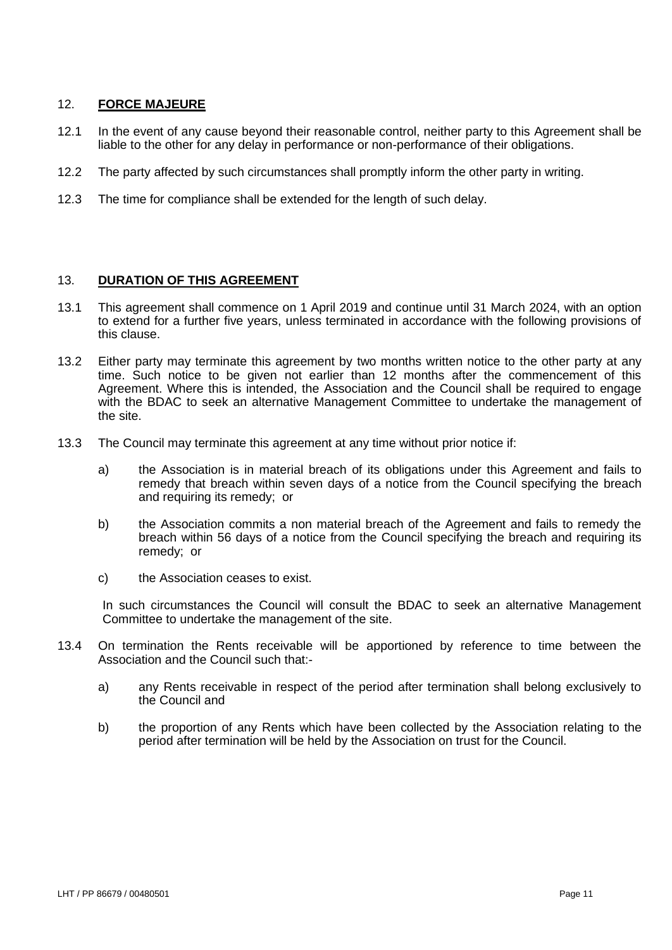## 12. **FORCE MAJEURE**

- 12.1 In the event of any cause beyond their reasonable control, neither party to this Agreement shall be liable to the other for any delay in performance or non-performance of their obligations.
- 12.2 The party affected by such circumstances shall promptly inform the other party in writing.
- 12.3 The time for compliance shall be extended for the length of such delay.

## 13. **DURATION OF THIS AGREEMENT**

- 13.1 This agreement shall commence on 1 April 2019 and continue until 31 March 2024, with an option to extend for a further five years, unless terminated in accordance with the following provisions of this clause.
- 13.2 Either party may terminate this agreement by two months written notice to the other party at any time. Such notice to be given not earlier than 12 months after the commencement of this Agreement. Where this is intended, the Association and the Council shall be required to engage with the BDAC to seek an alternative Management Committee to undertake the management of the site.
- 13.3 The Council may terminate this agreement at any time without prior notice if:
	- a) the Association is in material breach of its obligations under this Agreement and fails to remedy that breach within seven days of a notice from the Council specifying the breach and requiring its remedy; or
	- b) the Association commits a non material breach of the Agreement and fails to remedy the breach within 56 days of a notice from the Council specifying the breach and requiring its remedy; or
	- c) the Association ceases to exist.

In such circumstances the Council will consult the BDAC to seek an alternative Management Committee to undertake the management of the site.

- 13.4 On termination the Rents receivable will be apportioned by reference to time between the Association and the Council such that:
	- a) any Rents receivable in respect of the period after termination shall belong exclusively to the Council and
	- b) the proportion of any Rents which have been collected by the Association relating to the period after termination will be held by the Association on trust for the Council.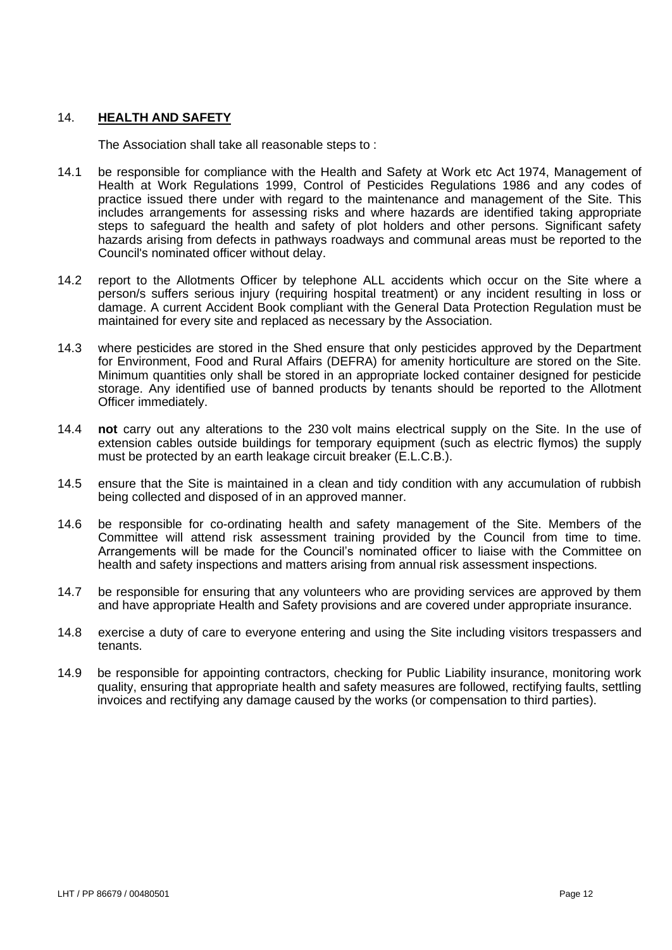#### 14. **HEALTH AND SAFETY**

The Association shall take all reasonable steps to :

- 14.1 be responsible for compliance with the Health and Safety at Work etc Act 1974, Management of Health at Work Regulations 1999, Control of Pesticides Regulations 1986 and any codes of practice issued there under with regard to the maintenance and management of the Site. This includes arrangements for assessing risks and where hazards are identified taking appropriate steps to safeguard the health and safety of plot holders and other persons. Significant safety hazards arising from defects in pathways roadways and communal areas must be reported to the Council's nominated officer without delay.
- 14.2 report to the Allotments Officer by telephone ALL accidents which occur on the Site where a person/s suffers serious injury (requiring hospital treatment) or any incident resulting in loss or damage. A current Accident Book compliant with the General Data Protection Regulation must be maintained for every site and replaced as necessary by the Association.
- 14.3 where pesticides are stored in the Shed ensure that only pesticides approved by the Department for Environment, Food and Rural Affairs (DEFRA) for amenity horticulture are stored on the Site. Minimum quantities only shall be stored in an appropriate locked container designed for pesticide storage. Any identified use of banned products by tenants should be reported to the Allotment Officer immediately.
- 14.4 **not** carry out any alterations to the 230 volt mains electrical supply on the Site. In the use of extension cables outside buildings for temporary equipment (such as electric flymos) the supply must be protected by an earth leakage circuit breaker (E.L.C.B.).
- 14.5 ensure that the Site is maintained in a clean and tidy condition with any accumulation of rubbish being collected and disposed of in an approved manner.
- 14.6 be responsible for co-ordinating health and safety management of the Site. Members of the Committee will attend risk assessment training provided by the Council from time to time. Arrangements will be made for the Council's nominated officer to liaise with the Committee on health and safety inspections and matters arising from annual risk assessment inspections.
- 14.7 be responsible for ensuring that any volunteers who are providing services are approved by them and have appropriate Health and Safety provisions and are covered under appropriate insurance.
- 14.8 exercise a duty of care to everyone entering and using the Site including visitors trespassers and tenants.
- 14.9 be responsible for appointing contractors, checking for Public Liability insurance, monitoring work quality, ensuring that appropriate health and safety measures are followed, rectifying faults, settling invoices and rectifying any damage caused by the works (or compensation to third parties).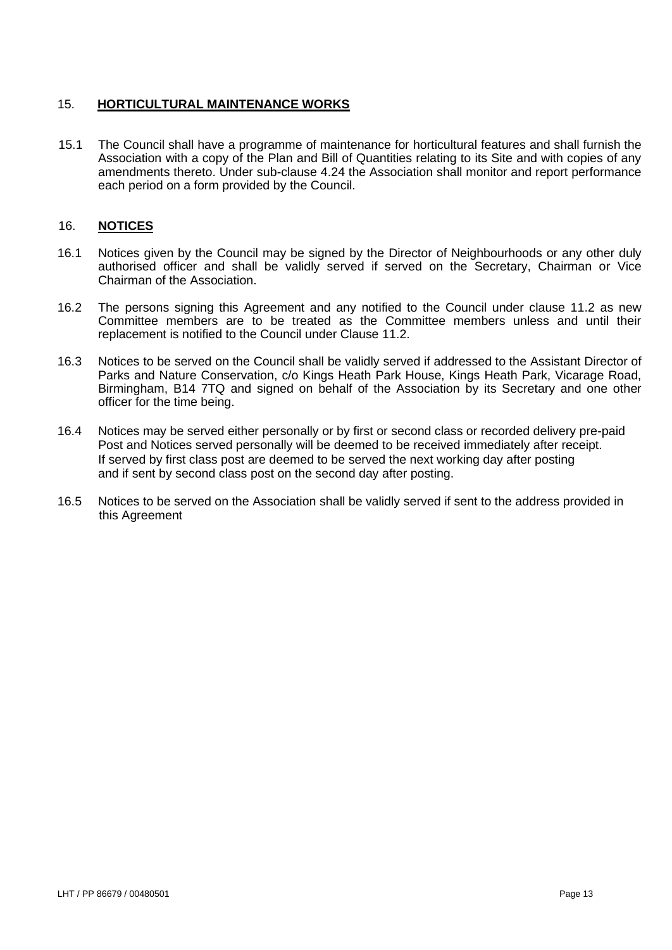## 15. **HORTICULTURAL MAINTENANCE WORKS**

15.1 The Council shall have a programme of maintenance for horticultural features and shall furnish the Association with a copy of the Plan and Bill of Quantities relating to its Site and with copies of any amendments thereto. Under sub-clause 4.24 the Association shall monitor and report performance each period on a form provided by the Council.

## 16. **NOTICES**

- 16.1 Notices given by the Council may be signed by the Director of Neighbourhoods or any other duly authorised officer and shall be validly served if served on the Secretary. Chairman or Vice Chairman of the Association.
- 16.2 The persons signing this Agreement and any notified to the Council under clause 11.2 as new Committee members are to be treated as the Committee members unless and until their replacement is notified to the Council under Clause 11.2.
- 16.3 Notices to be served on the Council shall be validly served if addressed to the Assistant Director of Parks and Nature Conservation, c/o Kings Heath Park House, Kings Heath Park, Vicarage Road, Birmingham, B14 7TQ and signed on behalf of the Association by its Secretary and one other officer for the time being.
- 16.4 Notices may be served either personally or by first or second class or recorded delivery pre-paid Post and Notices served personally will be deemed to be received immediately after receipt. If served by first class post are deemed to be served the next working day after posting and if sent by second class post on the second day after posting.
- 16.5 Notices to be served on the Association shall be validly served if sent to the address provided in this Agreement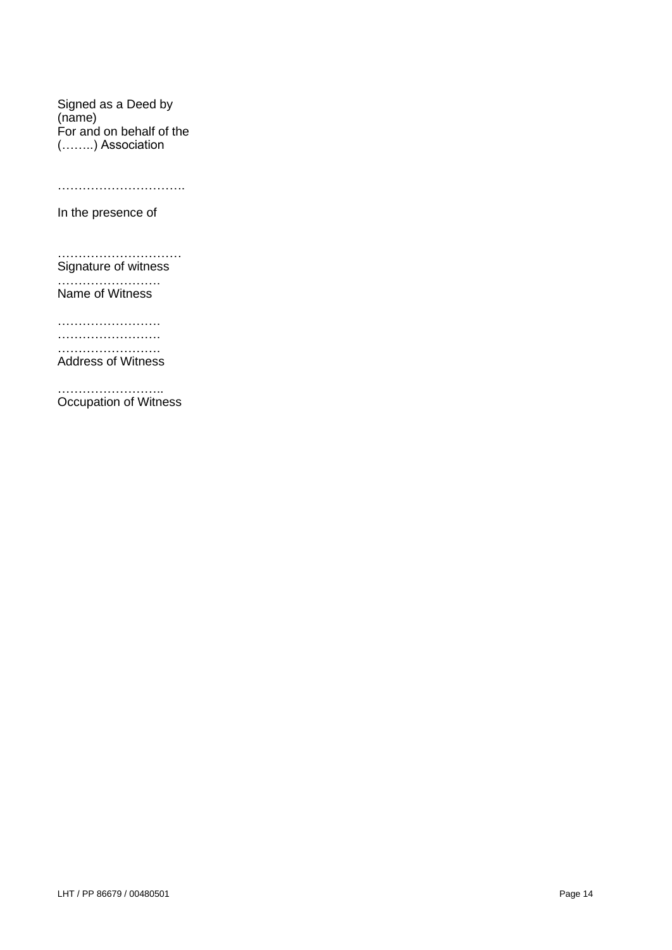Signed as a Deed by (name) For and on behalf of the (……..) Association

……………………………

In the presence of

………………………… Signature of witness

………………………… Name of Witness

…………………….

……………………. …………………….

Address of Witness

………………………… Occupation of Witness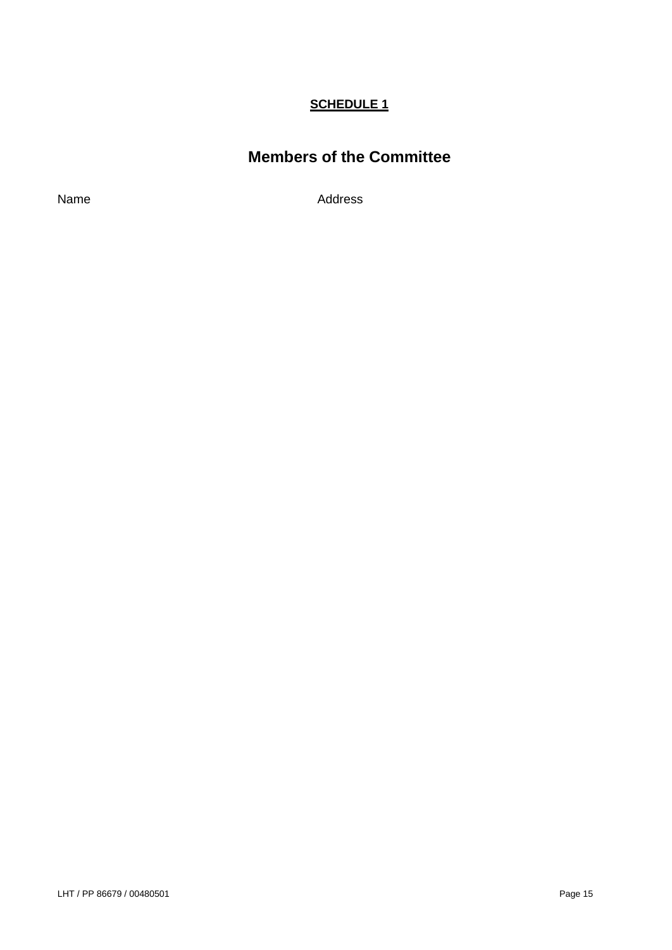# **SCHEDULE 1**

# **Members of the Committee**

Name Address